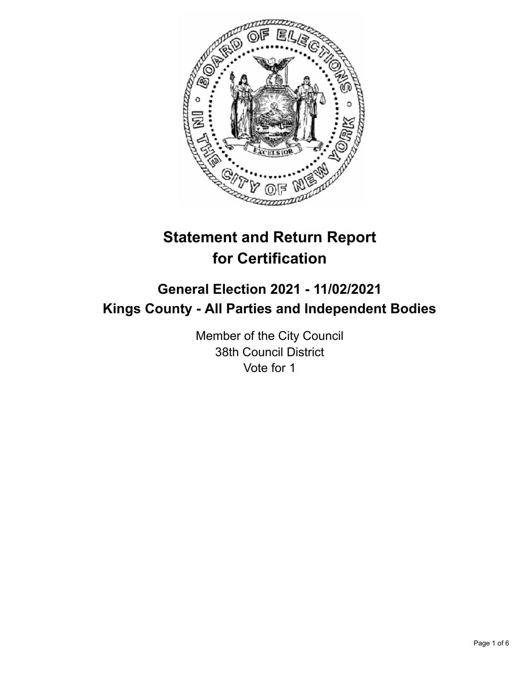

# **Statement and Return Report for Certification**

## **General Election 2021 - 11/02/2021 Kings County - All Parties and Independent Bodies**

Member of the City Council 38th Council District Vote for 1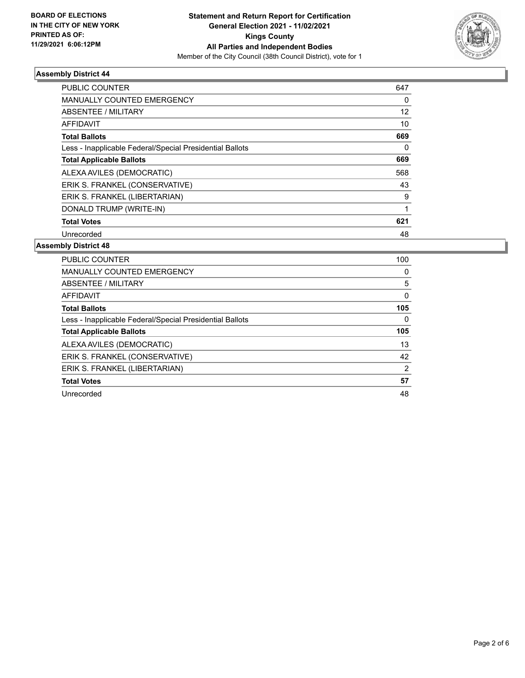

## **Assembly District 44**

| <b>PUBLIC COUNTER</b>                                    | 647 |
|----------------------------------------------------------|-----|
| <b>MANUALLY COUNTED EMERGENCY</b>                        | 0   |
| ABSENTEE / MILITARY                                      | 12  |
| AFFIDAVIT                                                | 10  |
| <b>Total Ballots</b>                                     | 669 |
| Less - Inapplicable Federal/Special Presidential Ballots | 0   |
| <b>Total Applicable Ballots</b>                          | 669 |
| ALEXA AVILES (DEMOCRATIC)                                | 568 |
| ERIK S. FRANKEL (CONSERVATIVE)                           | 43  |
| ERIK S. FRANKEL (LIBERTARIAN)                            | 9   |
| DONALD TRUMP (WRITE-IN)                                  | 1   |
| <b>Total Votes</b>                                       | 621 |
| Unrecorded                                               | 48  |

#### **Assembly District 48**

| PUBLIC COUNTER                                           | 100      |
|----------------------------------------------------------|----------|
| <b>MANUALLY COUNTED EMERGENCY</b>                        | $\Omega$ |
| ABSENTEE / MILITARY                                      | 5        |
| AFFIDAVIT                                                | 0        |
| <b>Total Ballots</b>                                     | 105      |
| Less - Inapplicable Federal/Special Presidential Ballots | $\Omega$ |
| <b>Total Applicable Ballots</b>                          | 105      |
| ALEXA AVILES (DEMOCRATIC)                                | 13       |
| ERIK S. FRANKEL (CONSERVATIVE)                           | 42       |
| ERIK S. FRANKEL (LIBERTARIAN)                            | 2        |
| <b>Total Votes</b>                                       | 57       |
|                                                          |          |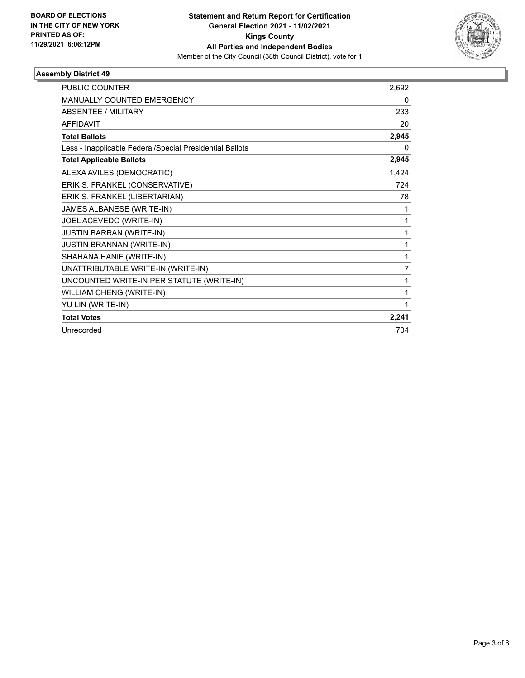

## **Assembly District 49**

| <b>PUBLIC COUNTER</b>                                    | 2,692 |
|----------------------------------------------------------|-------|
| <b>MANUALLY COUNTED EMERGENCY</b>                        | 0     |
| <b>ABSENTEE / MILITARY</b>                               | 233   |
| <b>AFFIDAVIT</b>                                         | 20    |
| <b>Total Ballots</b>                                     | 2,945 |
| Less - Inapplicable Federal/Special Presidential Ballots | 0     |
| <b>Total Applicable Ballots</b>                          | 2,945 |
| ALEXA AVILES (DEMOCRATIC)                                | 1,424 |
| ERIK S. FRANKEL (CONSERVATIVE)                           | 724   |
| ERIK S. FRANKEL (LIBERTARIAN)                            | 78    |
| JAMES ALBANESE (WRITE-IN)                                | 1     |
| JOEL ACEVEDO (WRITE-IN)                                  | 1     |
| <b>JUSTIN BARRAN (WRITE-IN)</b>                          | 1     |
| <b>JUSTIN BRANNAN (WRITE-IN)</b>                         | 1     |
| SHAHANA HANIF (WRITE-IN)                                 | 1     |
| UNATTRIBUTABLE WRITE-IN (WRITE-IN)                       | 7     |
| UNCOUNTED WRITE-IN PER STATUTE (WRITE-IN)                | 1     |
| WILLIAM CHENG (WRITE-IN)                                 | 1     |
| YU LIN (WRITE-IN)                                        | 1     |
| <b>Total Votes</b>                                       | 2,241 |
| Unrecorded                                               | 704   |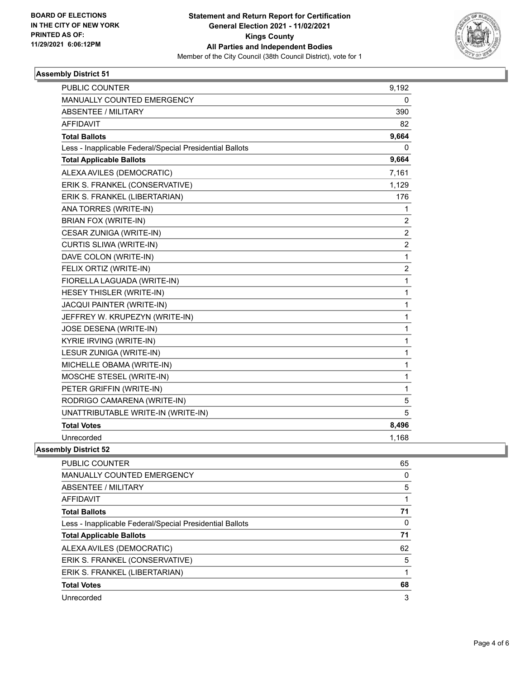

## **Assembly District 51**

| <b>PUBLIC COUNTER</b>                                    | 9,192          |
|----------------------------------------------------------|----------------|
| <b>MANUALLY COUNTED EMERGENCY</b>                        | 0              |
| <b>ABSENTEE / MILITARY</b>                               | 390            |
| <b>AFFIDAVIT</b>                                         | 82             |
| <b>Total Ballots</b>                                     | 9,664          |
| Less - Inapplicable Federal/Special Presidential Ballots | 0              |
| <b>Total Applicable Ballots</b>                          | 9,664          |
| ALEXA AVILES (DEMOCRATIC)                                | 7,161          |
| ERIK S. FRANKEL (CONSERVATIVE)                           | 1,129          |
| ERIK S. FRANKEL (LIBERTARIAN)                            | 176            |
| ANA TORRES (WRITE-IN)                                    | 1              |
| <b>BRIAN FOX (WRITE-IN)</b>                              | $\overline{2}$ |
| CESAR ZUNIGA (WRITE-IN)                                  | $\overline{2}$ |
| CURTIS SLIWA (WRITE-IN)                                  | $\overline{c}$ |
| DAVE COLON (WRITE-IN)                                    | 1              |
| FELIX ORTIZ (WRITE-IN)                                   | 2              |
| FIORELLA LAGUADA (WRITE-IN)                              | 1              |
| HESEY THISLER (WRITE-IN)                                 | 1              |
| <b>JACQUI PAINTER (WRITE-IN)</b>                         | 1              |
| JEFFREY W. KRUPEZYN (WRITE-IN)                           | 1              |
| JOSE DESENA (WRITE-IN)                                   | 1              |
| KYRIE IRVING (WRITE-IN)                                  | 1              |
| LESUR ZUNIGA (WRITE-IN)                                  | 1              |
| MICHELLE OBAMA (WRITE-IN)                                | 1              |
| MOSCHE STESEL (WRITE-IN)                                 | 1              |
| PETER GRIFFIN (WRITE-IN)                                 | 1              |
| RODRIGO CAMARENA (WRITE-IN)                              | 5              |
| UNATTRIBUTABLE WRITE-IN (WRITE-IN)                       | 5              |
| <b>Total Votes</b>                                       | 8,496          |
| Unrecorded                                               | 1,168          |

**Assembly District 52**

| PUBLIC COUNTER                                           | 65 |
|----------------------------------------------------------|----|
| <b>MANUALLY COUNTED EMERGENCY</b>                        | 0  |
| ABSENTEE / MILITARY                                      | 5  |
| <b>AFFIDAVIT</b>                                         |    |
| <b>Total Ballots</b>                                     | 71 |
| Less - Inapplicable Federal/Special Presidential Ballots | 0  |
| <b>Total Applicable Ballots</b>                          | 71 |
| ALEXA AVILES (DEMOCRATIC)                                | 62 |
| ERIK S. FRANKEL (CONSERVATIVE)                           | 5  |
| ERIK S. FRANKEL (LIBERTARIAN)                            |    |
| <b>Total Votes</b>                                       | 68 |
| Unrecorded                                               | 3  |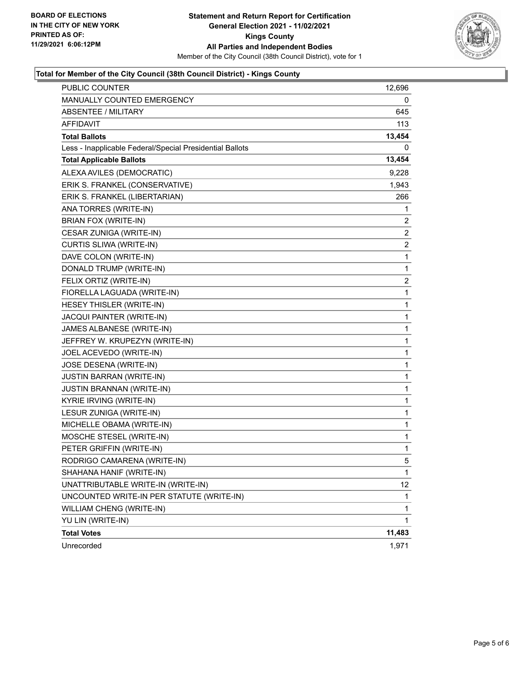

## **Total for Member of the City Council (38th Council District) - Kings County**

| PUBLIC COUNTER                                           | 12,696 |
|----------------------------------------------------------|--------|
| MANUALLY COUNTED EMERGENCY                               | 0      |
| <b>ABSENTEE / MILITARY</b>                               | 645    |
| <b>AFFIDAVIT</b>                                         | 113    |
| <b>Total Ballots</b>                                     | 13,454 |
| Less - Inapplicable Federal/Special Presidential Ballots | 0      |
| <b>Total Applicable Ballots</b>                          | 13,454 |
| ALEXA AVILES (DEMOCRATIC)                                | 9,228  |
| ERIK S. FRANKEL (CONSERVATIVE)                           | 1,943  |
| ERIK S. FRANKEL (LIBERTARIAN)                            | 266    |
| ANA TORRES (WRITE-IN)                                    | 1      |
| BRIAN FOX (WRITE-IN)                                     | 2      |
| CESAR ZUNIGA (WRITE-IN)                                  | 2      |
| CURTIS SLIWA (WRITE-IN)                                  | 2      |
| DAVE COLON (WRITE-IN)                                    | 1      |
| DONALD TRUMP (WRITE-IN)                                  | 1      |
| FELIX ORTIZ (WRITE-IN)                                   | 2      |
| FIORELLA LAGUADA (WRITE-IN)                              | 1      |
| HESEY THISLER (WRITE-IN)                                 | 1      |
| JACQUI PAINTER (WRITE-IN)                                | 1      |
| JAMES ALBANESE (WRITE-IN)                                | 1      |
| JEFFREY W. KRUPEZYN (WRITE-IN)                           | 1      |
| JOEL ACEVEDO (WRITE-IN)                                  | 1      |
| JOSE DESENA (WRITE-IN)                                   | 1      |
| <b>JUSTIN BARRAN (WRITE-IN)</b>                          | 1      |
| <b>JUSTIN BRANNAN (WRITE-IN)</b>                         | 1      |
| KYRIE IRVING (WRITE-IN)                                  | 1      |
| LESUR ZUNIGA (WRITE-IN)                                  | 1      |
| MICHELLE OBAMA (WRITE-IN)                                | 1      |
| MOSCHE STESEL (WRITE-IN)                                 | 1      |
| PETER GRIFFIN (WRITE-IN)                                 | 1      |
| RODRIGO CAMARENA (WRITE-IN)                              | 5      |
| SHAHANA HANIF (WRITE-IN)                                 | 1      |
| UNATTRIBUTABLE WRITE-IN (WRITE-IN)                       | 12     |
| UNCOUNTED WRITE-IN PER STATUTE (WRITE-IN)                | 1      |
| WILLIAM CHENG (WRITE-IN)                                 | 1      |
| YU LIN (WRITE-IN)                                        | 1      |
| <b>Total Votes</b>                                       | 11,483 |
| Unrecorded                                               | 1,971  |